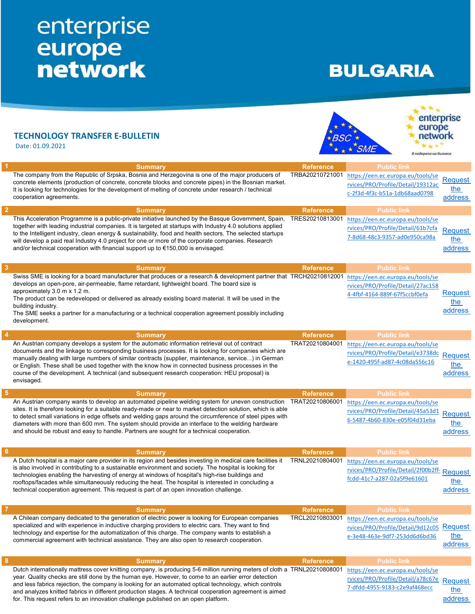## enterprise<br>
europe<br>
network

## **BULGARIA**

|                         | <b>TECHNOLOGY TRANSFER E-BULLETIN</b><br>Date: 01.09.2021                                                                                                                                                                                                                                                                                                                                                                                                                                                                                    |                  | enterprise<br>europe<br>network<br>В подкрепа на бизнеса                                                        |                                  |
|-------------------------|----------------------------------------------------------------------------------------------------------------------------------------------------------------------------------------------------------------------------------------------------------------------------------------------------------------------------------------------------------------------------------------------------------------------------------------------------------------------------------------------------------------------------------------------|------------------|-----------------------------------------------------------------------------------------------------------------|----------------------------------|
|                         | <b>Summary</b>                                                                                                                                                                                                                                                                                                                                                                                                                                                                                                                               | <b>Reference</b> | <b>Public link</b>                                                                                              |                                  |
|                         | The company from the Republic of Srpska, Bosnia and Herzegovina is one of the major producers of<br>concrete elements (production of concrete, concrete blocks and concrete pipes) in the Bosnian market.<br>It is looking for technologies for the development of melting of concrete under research / technical<br>cooperation agreements.                                                                                                                                                                                                 | TRBA20210721001  | https://een.ec.europa.eu/tools/se<br>rvices/PRO/Profile/Detail/19312ac<br>c-2f3d-4f3c-b51a-1db68aad0798         | <b>Request</b><br>the<br>address |
| $\overline{2}$          | <b>Summary</b>                                                                                                                                                                                                                                                                                                                                                                                                                                                                                                                               | <b>Reference</b> | <b>Public link</b>                                                                                              |                                  |
|                         | This Acceleration Programme is a public-private initiative launched by the Basque Government, Spain,<br>together with leading industrial companies. It is targeted at startups with Industry 4.0 solutions applied<br>to the Intelligent industry, clean energy & sustainability, food and health sectors. The selected startups<br>will develop a paid real Industry 4.0 project for one or more of the corporate companies. Research<br>and/or technical cooperation with financial support up to €150,000 is envisaged.                   | TRES20210813001  | https://een.ec.europa.eu/tools/se<br>rvices/PRO/Profile/Detail/61b7cfa<br>7-8d68-48c3-9357-ad0e950ca98a         | <b>Request</b><br>the<br>address |
| $\overline{\mathbf{3}}$ | <b>Summary</b>                                                                                                                                                                                                                                                                                                                                                                                                                                                                                                                               | <b>Reference</b> | <b>Public link</b>                                                                                              |                                  |
|                         | Swiss SME is looking for a board manufacturer that produces or a research & development partner that TRCH20210812001<br>develops an open-pore, air-permeable, flame retardant, lightweight board. The board size is<br>approximately 3.0 m x 1.2 m.<br>The product can be redeveloped or delivered as already existing board material. It will be used in the<br>building industry.<br>The SME seeks a partner for a manufacturing or a technical cooperation agreement possibly including<br>development.                                   |                  | https://een.ec.europa.eu/tools/se<br>rvices/PRO/Profile/Detail/27ac158<br>4-4fbf-4164-889f-67f5ccbf0efa         | <b>Request</b><br>the<br>address |
|                         | <b>Summary</b>                                                                                                                                                                                                                                                                                                                                                                                                                                                                                                                               | <b>Reference</b> | <b>Public link</b>                                                                                              |                                  |
|                         | An Austrian company develops a system for the automatic information retrieval out of contract<br>documents and the linkage to corresponding business processes. It is looking for companies which are<br>manually dealing with large numbers of similar contracts (supplier, maintenance, service) in German<br>or English. These shall be used together with the know how in connected business processes in the<br>course of the development. A technical (and subsequent research cooperation: HEU proposal) is<br>envisaged.             | TRAT20210804001  | https://een.ec.europa.eu/tools/se<br>rvices/PRO/Profile/Detail/e3738dc<br>e-1420-495f-ad87-4c08da556c16         | Request<br>the<br>address        |
| $5\phantom{.0}$         | <b>Summary</b>                                                                                                                                                                                                                                                                                                                                                                                                                                                                                                                               | <b>Reference</b> | <b>Public link</b>                                                                                              |                                  |
|                         | An Austrian company wants to develop an automated pipeline welding system for uneven construction<br>sites. It is therefore looking for a suitable ready-made or near to market detection solution, which is able<br>to detect small variations in edge offsets and welding gaps around the circumference of steel pipes with<br>diameters with more than 600 mm. The system should provide an interface to the welding hardware<br>and should be robust and easy to handle. Partners are sought for a technical cooperation.                | TRAT20210806001  | https://een.ec.europa.eu/tools/se<br>rvices/PRO/Profile/Detail/45a53d1<br>6-5487-4b60-830e-e05f04d31eba         | <b>Request</b><br>the<br>address |
| 6                       | <b>Summary</b>                                                                                                                                                                                                                                                                                                                                                                                                                                                                                                                               | Reference        | Public link                                                                                                     |                                  |
|                         | A Dutch hospital is a major care provider in its region and besides investing in medical care facilities it<br>is also involved in contributing to a sustainable environment and society. The hospital is looking for<br>technologies enabling the harvesting of energy at windows of hospital's high-rise buildings and<br>rooftops/facades while simultaneously reducing the heat. The hospital is interested in concluding a<br>technical cooperation agreement. This request is part of an open innovation challenge.                    | TRNL20210804001  | https://een.ec.europa.eu/tools/se<br>rvices/PRO/Profile/Detail/2f00b2ff- Request<br>fcdd-41c7-a287-02a5f9e61601 | the<br>address                   |
|                         | <b>Summary</b>                                                                                                                                                                                                                                                                                                                                                                                                                                                                                                                               | <b>Reference</b> | <b>Public link</b>                                                                                              |                                  |
|                         | A Chilean company dedicated to the generation of electric power is looking for European companies<br>specialized and with experience in inductive charging providers to electric cars. They want to find<br>technology and expertise for the automatization of this charge. The company wants to establish a<br>commercial agreement with technical assistance. They are also open to research cooperation.                                                                                                                                  | TRCL20210803001  | https://een.ec.europa.eu/tools/se<br>rvices/PRO/Profile/Detail/9d12c05 Request<br>e-3e48-463e-9df7-253dd6d6bd36 | the<br>address                   |
| 8                       | <b>Summary</b>                                                                                                                                                                                                                                                                                                                                                                                                                                                                                                                               | <b>Reference</b> | <b>Public link</b>                                                                                              |                                  |
|                         | Dutch internationally mattress cover knitting company, is producing 5-6 million running meters of cloth a TRNL20210808001<br>year. Quality checks are still done by the human eye. However, to come to an earlier error detection<br>and less fabrics rejection, the company is looking for an automated optical technology, which controls<br>and analyzes knitted fabrics in different production stages. A technical cooperation agreement is aimed<br>for. This request refers to an innovation challenge published on an open platform. |                  | https://een.ec.europa.eu/tools/se<br>rvices/PRO/Profile/Detail/a78c67e Request<br>7-dfdd-4955-9183-c2e9af468ecc | the<br>address                   |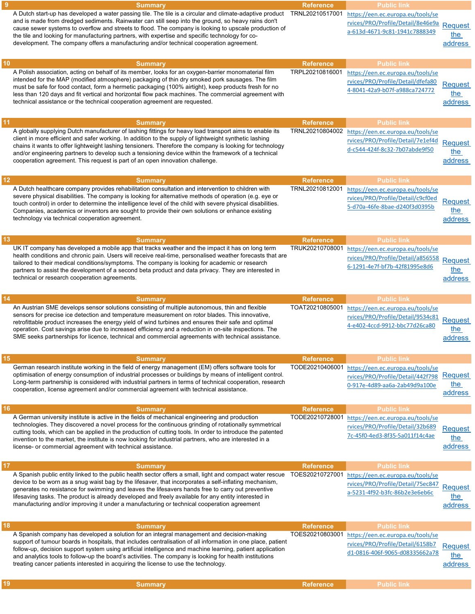|      | <b>Summary</b>                                                                                                                                                                                                                                                                                                                                                                                                                                                                                                                        | <b>Reference</b> | Public link                                                                                             |                                  |
|------|---------------------------------------------------------------------------------------------------------------------------------------------------------------------------------------------------------------------------------------------------------------------------------------------------------------------------------------------------------------------------------------------------------------------------------------------------------------------------------------------------------------------------------------|------------------|---------------------------------------------------------------------------------------------------------|----------------------------------|
|      | A Dutch start-up has developed a water passing tile. The tile is a circular and climate-adaptive product TRNL20210517001<br>and is made from dredged sediments. Rainwater can still seep into the ground, so heavy rains don't<br>cause sewer systems to overflow and streets to flood. The company is looking to upscale production of<br>the tile and looking for manufacturing partners, with expertise and specific technology for co-<br>development. The company offers a manufacturing and/or technical cooperation agreement. |                  | https://een.ec.europa.eu/tools/se<br>rvices/PRO/Profile/Detail/8e46e9a<br>a-613d-4671-9c81-1941c7888349 | Request<br>the<br>address        |
| 10   | <b>Summary</b>                                                                                                                                                                                                                                                                                                                                                                                                                                                                                                                        | <b>Reference</b> | <b>Public link</b>                                                                                      |                                  |
|      | A Polish association, acting on behalf of its member, looks for an oxygen-barrier monomaterial film<br>intended for the MAP (modified atmosphere) packaging of thin dry smoked pork sausages. The film<br>must be safe for food contact, form a hermetic packaging (100% airtight), keep products fresh for no<br>less than 120 days and fit vertical and horizontal flow pack machines. The commercial agreement with<br>technical assistance or the technical cooperation agreement are requested.                                  | TRPL20210816001  | https://een.ec.europa.eu/tools/se<br>rvices/PRO/Profile/Detail/dfefa80<br>4-8041-42a9-b07f-a988ca724772 | <b>Request</b><br>the<br>address |
| 11   | <b>Summary</b>                                                                                                                                                                                                                                                                                                                                                                                                                                                                                                                        | <b>Reference</b> | <b>Public link</b>                                                                                      |                                  |
|      | A globally supplying Dutch manufacturer of lashing fittings for heavy load transport aims to enable its<br>client in more efficient and safer working. In addition to the supply of lightweight synthetic lashing<br>chains it wants to offer lightweight lashing tensioners. Therefore the company is looking for technology<br>and/or engineering partners to develop such a tensioning device within the framework of a technical<br>cooperation agreement. This request is part of an open innovation challenge.                  | TRNL20210804002  | https://een.ec.europa.eu/tools/se<br>rvices/PRO/Profile/Detail/7e1ef4d<br>d-c544-424f-8c32-7b07abde9f50 | Request<br>the<br>address        |
| $12$ | <b>Summary</b>                                                                                                                                                                                                                                                                                                                                                                                                                                                                                                                        | <b>Reference</b> | <b>Public link</b>                                                                                      |                                  |
|      | A Dutch healthcare company provides rehabilitation consultation and intervention to children with<br>severe physical disabilities. The company is looking for alternative methods of operation (e.g. eye or<br>touch control) in order to determine the intelligence level of the child with severe physical disabilities.<br>Companies, academics or inventors are sought to provide their own solutions or enhance existing<br>technology via technical cooperation agreement.                                                      | TRNL20210812001  | https://een.ec.europa.eu/tools/se<br>rvices/PRO/Profile/Detail/c9cf0ed<br>5-d70a-46fe-8bae-d240f3d0395b | <b>Request</b><br>the<br>address |
| 13   | <b>Summary</b>                                                                                                                                                                                                                                                                                                                                                                                                                                                                                                                        | <b>Reference</b> | <b>Public link</b>                                                                                      |                                  |
|      | UK IT company has developed a mobile app that tracks weather and the impact it has on long term<br>health conditions and chronic pain. Users will receive real-time, personalised weather forecasts that are<br>tailored to their medical conditions/symptoms. The company is looking for academic or research<br>partners to assist the development of a second beta product and data privacy. They are interested in<br>technical or research cooperation agreements.                                                               | TRUK20210708001  | https://een.ec.europa.eu/tools/se<br>rvices/PRO/Profile/Detail/a856558<br>6-1291-4e7f-bf7b-42f81995e8d6 | <b>Request</b><br>the<br>address |
| 14   | <b>Summary</b>                                                                                                                                                                                                                                                                                                                                                                                                                                                                                                                        | <b>Reference</b> | <b>Public link</b>                                                                                      |                                  |
|      | An Austrian SME develops sensor solutions consisting of multiple autonomous, thin and flexible<br>sensors for precise ice detection and temperature measurement on rotor blades. This innovative,<br>retrofittable product increases the energy yield of wind turbines and ensures their safe and optimal<br>operation. Cost savings arise due to increased efficiency and a reduction in on-site inspections. The<br>SME seeks partnerships for licence, technical and commercial agreements with technical assistance.              | TOAT20210805001  | https://een.ec.europa.eu/tools/se<br>rvices/PRO/Profile/Detail/9534c81<br>4-e402-4ccd-9912-bbc77d26ca80 | <b>Request</b><br>the<br>address |
| 15   | <b>Summary</b>                                                                                                                                                                                                                                                                                                                                                                                                                                                                                                                        | <b>Reference</b> | <b>Public link</b>                                                                                      |                                  |
|      | German research institute working in the field of energy management (EM) offers software tools for<br>optimisation of energy consumption of industrial processes or buildings by means of intelligent control.<br>Long-term partnership is considered with industrial partners in terms of technical cooperation, research<br>cooperation, license agreement and/or commercial agreement with technical assistance.                                                                                                                   | TODE20210406001  | https://een.ec.europa.eu/tools/se<br>rvices/PRO/Profile/Detail/442f798<br>0-917e-4d89-aa6a-2ab49d9a100e | Request<br>the l<br>address      |
| 16   | <b>Summary</b>                                                                                                                                                                                                                                                                                                                                                                                                                                                                                                                        | <b>Reference</b> | <b>Public link</b>                                                                                      |                                  |
|      | A German university institute is active in the fields of mechanical engineering and production<br>technologies. They discovered a novel process for the continuous grinding of rotationally symmetrical<br>cutting tools, which can be applied in the production of cutting tools. In order to introduce the patented<br>invention to the market, the institute is now looking for industrial partners, who are interested in a<br>license- or commercial agreement with technical assistance.                                        | TODE20210728001  | https://een.ec.europa.eu/tools/se<br>rvices/PRO/Profile/Detail/32b689<br>7c-45f0-4ed3-8f35-5a011f14c4ae | <b>Request</b><br>the<br>address |
| 17   | <b>Summary</b>                                                                                                                                                                                                                                                                                                                                                                                                                                                                                                                        | <b>Reference</b> | <b>Public link</b>                                                                                      |                                  |
|      | A Spanish public entity linked to the public health sector offers a small, light and compact water rescue<br>device to be worn as a snug waist bag by the lifesaver, that incorporates a self-inflating mechanism,<br>generates no resistance for swimming and leaves the lifesavers hands free to carry out preventive<br>lifesaving tasks. The product is already developed and freely available for any entity interested in<br>manufacturing and/or improving it under a manufacturing or technical cooperation agreement         | TOES20210727001  | https://een.ec.europa.eu/tools/se<br>rvices/PRO/Profile/Detail/75ec847<br>a-5231-4f92-b3fc-86b2e3e6eb6c | <b>Request</b><br>the<br>address |
| 18   | <b>Summary</b>                                                                                                                                                                                                                                                                                                                                                                                                                                                                                                                        | <b>Reference</b> | <b>Public link</b>                                                                                      |                                  |
|      | A Spanish company has developed a solution for an integral management and decision-making<br>support of tumour boards in hospitals, that includes centralisation of all information in one place, patient<br>follow-up, decision support system using artificial intelligence and machine learning, patient application<br>and analytics tools to follow-up the board's activities. The company is looking for health institutions<br>treating cancer patients interested in acquiring the license to use the technology.             | TOES20210803001  | https://een.ec.europa.eu/tools/se<br>rvices/PRO/Profile/Detail/6158b7<br>d1-0816-406f-9065-d08335662a78 | Request<br>the<br>address        |
| 19   | <b>Summary</b>                                                                                                                                                                                                                                                                                                                                                                                                                                                                                                                        | <b>Reference</b> | <b>Public link</b>                                                                                      |                                  |
|      |                                                                                                                                                                                                                                                                                                                                                                                                                                                                                                                                       |                  |                                                                                                         |                                  |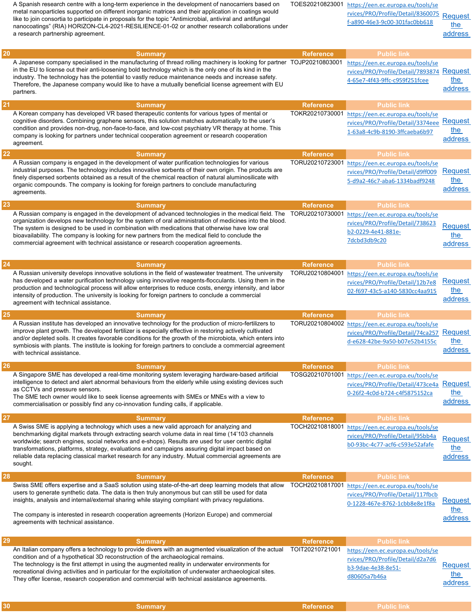A Spanish research centre with a long-term experience in the development of nanocarriers based on metal nanoparticles supported on different inorganic matrices and their application in coatings would like to join consortia to participate in proposals for the topic "Antimicrobial, antiviral and antifungal nanocoatings" (RIA) HORIZON-CL4-2021-RESILIENCE-01-02 or another research collaborations under a research partnership agreement. TOES20210823001 https://een.ec.europa.eu/tools/se rvices/PRO/Profile/Detail/8360075 f-a890-46e3-9c00-301fac0bb618 **Request** the address 20 Summary Reference Public link and the Summary Reference Public link A Japanese company specialised in the manufacturing of thread rolling machinery is looking for partner TOJP20210803001 in the EU to license out their anti-loosening bold technology which is the only one of its kind in the industry. The technology has the potential to vastly reduce maintenance needs and increase safety. Therefore, the Japanese company would like to have a mutually beneficial license agreement with EU partners. https://een.ec.europa.eu/tools/se rvices/PRO/Profile/Detail/7893874 4-65e7-4f43-9ffc-c959f251fcee Request the address 21 Summary Reference Public link and the Summary Reference Public link A Korean company has developed VR based therapeutic contents for various types of mental or cognitive disorders. Combining graphene sensors, this solution matches automatically to the user's condition and provides non-drug, non-face-to-face, and low-cost psychiatry VR therapy at home. This company is looking for partners under technical cooperation agreement or research cooperation agreement. TOKR20210730001 https://een.ec.europa.eu/tools/se rvices/PRO/Profile/Detail/3374eee 1-63a8-4c9b-8190-3ffcaeba6b97 **Request** the address 22 Summary Reference Public link and the Summary Reference Public link A Russian company is engaged in the development of water purification technologies for various industrial purposes. The technology includes innovative sorbents of their own origin. The products are finely dispersed sorbents obtained as a result of the chemical reaction of natural aluminosilicate with organic compounds. The company is looking for foreign partners to conclude manufacturing agreements. TORU20210723001 https://een.ec.europa.eu/tools/se rvices/PRO/Profile/Detail/d9ff009 5-d9a2-46c7-aba6-1334badf9248 **Request** the address 23 Summary Reference Public link and the Summary Reference Public link A Russian company is engaged in the development of advanced technologies in the medical field. The organization develops new technology for the system of oral administration of medicines into the blood. The system is designed to be used in combination with medications that otherwise have low oral bioavailability. The company is looking for new partners from the medical field to conclude the commercial agreement with technical assistance or research cooperation agreements. TORU20210730001 https://een.ec.europa.eu/tools/se rvices/PRO/Profile/Detail/738623 b2-0229-4e41-881e-7dcbd3db9c20 **Request** the address 24 Summary Reference Public link A Russian university develops innovative solutions in the field of wastewater treatment. The university has developed a water purification technology using innovative reagents-flocculants. Using them in the production and technological process will allow enterprises to reduce costs, energy intensity, and labor intensity of production. The university is looking for foreign partners to conclude a commercial agreement with technical assistance. TORU20210804001 https://een.ec.europa.eu/tools/se rvices/PRO/Profile/Detail/12b7e8 02-f697-43c5-a140-5830cc4aa915 **Request** the address 25 Summary Reference Public link and the Summary Reference Public link A Russian institute has developed an innovative technology for the production of micro-fertilizers to improve plant growth. The developed fertilizer is especially effective in restoring actively cultivated and/or depleted soils. It creates favorable conditions for the growth of the microbiota, which enters into symbiosis with plants. The institute is looking for foreign partners to conclude a commercial agreement with technical assistance. TORU20210804002 https://een.ec.europa.eu/tools/se rvices/PRO/Profile/Detail/74ca257 d-e628-42be-9a50-b07e52b4155c Request the address 26 Summary Reference Public link and the Summary Reference Public link A Singapore SME has developed a real-time monitoring system leveraging hardware-based artificial intelligence to detect and alert abnormal behaviours from the elderly while using existing devices such as CCTVs and pressure sensors. The SME tech owner would like to seek license agreements with SMEs or MNEs with a view to commercialisation or possibly find any co-innovation funding calls, if applicable. TOSG20210701001 https://een.ec.europa.eu/tools/se rvices/PRO/Profile/Detail/473ce4a 0-26f2-4c0d-b724-c4f5875152ca **Request** the address 27 Summary Reference Public link and the Summary Reference Public link A Swiss SME is applying a technology which uses a new valid approach for analyzing and benchmarking digital markets through extracting search volume data in real time (14'103 channels worldwide; search engines, social networks and e-shops). Results are used for user centric digital transformations, platforms, strategy, evaluations and campaigns assuring digital impact based on reliable data replacing classical market research for any industry. Mutual commercial agreements are sought. TOCH20210818001 https://een.ec.europa.eu/tools/se rvices/PRO/Profile/Detail/95bb4a b0-93bc-4c77-acf6-c593e52afafe **Request** the address 28 Summary Reference Public link and the Summary Reference Public link Swiss SME offers expertise and a SaaS solution using state-of-the-art deep learning models that allow TOCH20210817001 <u>https://een.ec.europa.eu/tools/se</u> users to generate synthetic data. The data is then truly anonymous but can still be used for data insights, analysis and internal/external sharing while staying compliant with privacy regulations. The company is interested in research cooperation agreements (Horizon Europe) and commercial agreements with technical assistance. rvices/PRO/Profile/Detail/117fbcb 0-1228-467e-8762-1cbb8e8e1f8a Request the address 29 Summary Reference Public link and the Summary Reference Public link An Italian company offers a technology to provide divers with an augmented visualization of the actual condition and of a hypothetical 3D reconstruction of the archaeological remains. The technology is the first attempt in using the augmented reality in underwater environments for recreational diving activities and in particular for the exploitation of underwater archaeological sites. They offer license, research cooperation and commercial with technical assistance agreements. https://een.ec.europa.eu/tools/se rvices/PRO/Profile/Detail/d2a7d6 b3-9dae-4e38-8e51 d80605a7b46a **Request** the address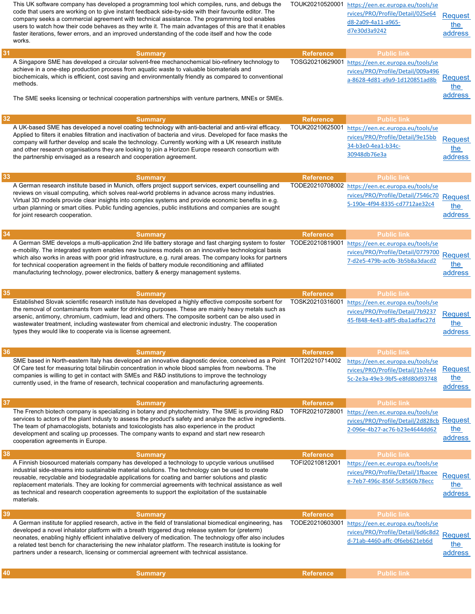|          | This UK software company has developed a programming tool which compiles, runs, and debugs the<br>code that users are working on to give instant feedback side-by-side with their favourite editor. The<br>company seeks a commercial agreement with technical assistance. The programming tool enables<br>users to watch how their code behaves as they write it. The main advantages of this are that it enables<br>faster iterations, fewer errors, and an improved understanding of the code itself and how the code<br>works. | TOUK20210520001  | https://een.ec.europa.eu/tools/se<br>rvices/PRO/Profile/Detail/025e64<br>d8-2a09-4a11-a965-<br>d7e30d3a9242 | <b>Request</b><br>the<br>address |
|----------|------------------------------------------------------------------------------------------------------------------------------------------------------------------------------------------------------------------------------------------------------------------------------------------------------------------------------------------------------------------------------------------------------------------------------------------------------------------------------------------------------------------------------------|------------------|-------------------------------------------------------------------------------------------------------------|----------------------------------|
| 31       | <b>Summary</b>                                                                                                                                                                                                                                                                                                                                                                                                                                                                                                                     | <b>Reference</b> | <b>Public link</b>                                                                                          |                                  |
|          | A Singapore SME has developed a circular solvent-free mechanochemical bio-refinery technology to<br>achieve in a one-step production process from aquatic waste to valuable biomaterials and<br>biochemicals, which is efficient, cost saving and environmentally friendly as compared to conventional<br>methods.<br>The SME seeks licensing or technical cooperation partnerships with venture partners, MNEs or SMEs.                                                                                                           | TOSG20210629001  | https://een.ec.europa.eu/tools/se<br>rvices/PRO/Profile/Detail/009a496<br>a-8628-4d81-a9a9-1d120851ad8b     | Reguest<br>the<br>address        |
|          |                                                                                                                                                                                                                                                                                                                                                                                                                                                                                                                                    |                  |                                                                                                             |                                  |
| 32       | <b>Summary</b>                                                                                                                                                                                                                                                                                                                                                                                                                                                                                                                     | <b>Reference</b> | <b>Public link</b>                                                                                          |                                  |
|          | A UK-based SME has developed a novel coating technology with anti-bacterial and anti-viral efficacy.<br>Applied to filters it enables filtration and inactivation of bacteria and virus. Developed for face masks the<br>company will further develop and scale the technology. Currently working with a UK research institute<br>and other research organisations they are looking to join a Horizon Europe research consortium with<br>the partnership envisaged as a research and cooperation agreement.                        | TOUK20210625001  | https://een.ec.europa.eu/tools/se<br>rvices/PRO/Profile/Detail/9e15bb<br>34-b3e0-4ea1-b34c-<br>30948db76e3a | <b>Request</b><br>the<br>address |
| 33       | <b>Summary</b>                                                                                                                                                                                                                                                                                                                                                                                                                                                                                                                     | <b>Reference</b> | <b>Public link</b>                                                                                          |                                  |
|          | A German research institute based in Munich, offers project support services, expert counselling and<br>reviews on visual computing, which solves real-world problems in advance across many industries.<br>Virtual 3D models provide clear insights into complex systems and provide economic benefits in e.g.<br>urban planning or smart cities. Public funding agencies, public institutions and companies are sought<br>for joint research cooperation.                                                                        | TODE20210708002  | https://een.ec.europa.eu/tools/se<br>rvices/PRO/Profile/Detail/7546c70<br>5-190e-4f94-8335-cd7712ae32c4     | <b>Request</b><br>the<br>address |
|          | <b>Summary</b>                                                                                                                                                                                                                                                                                                                                                                                                                                                                                                                     | <b>Reference</b> | <b>Public link</b>                                                                                          |                                  |
|          | A German SME develops a multi-application 2nd life battery storage and fast charging system to foster TODE20210819001<br>e-mobility. The integrated system enables new business models on an innovative technological basis<br>which also works in areas with poor grid infrastructure, e.g. rural areas. The company looks for partners<br>for technical cooperation agreement in the fields of battery module reconditioning and affiliated<br>manufacturing technology, power electronics, battery & energy management systems. |                  | https://een.ec.europa.eu/tools/se<br>rvices/PRO/Profile/Detail/0779700<br>7-d2e5-479b-ac0b-3b5b8a3dacd2     | <b>Request</b><br>the<br>address |
|          |                                                                                                                                                                                                                                                                                                                                                                                                                                                                                                                                    |                  |                                                                                                             |                                  |
| 35       | <b>Summary</b>                                                                                                                                                                                                                                                                                                                                                                                                                                                                                                                     | <b>Reference</b> | <b>Public link</b>                                                                                          |                                  |
|          | Established Slovak scientific research institute has developed a highly effective composite sorbent for<br>the removal of contaminants from water for drinking purposes. These are mainly heavy metals such as<br>arsenic, antimony, chromium, cadmium, lead and others. The composite sorbent can be also used in<br>wastewater treatment, including wastewater from chemical and electronic industry. The cooperation<br>types they would like to cooperate via is license agreement.                                            | TOSK20210316001  | https://een.ec.europa.eu/tools/se<br>rvices/PRO/Profile/Detail/7b9237<br>45-f848-4e43-a8f5-dba1adfac27d     | <b>Request</b><br>the<br>address |
|          |                                                                                                                                                                                                                                                                                                                                                                                                                                                                                                                                    | <b>Reference</b> | <b>Public link</b>                                                                                          |                                  |
|          | <b>Summary</b><br>SME based in North-eastern Italy has developed an innovative diagnostic device, conceived as a Point TOIT20210714002<br>Of Care test for measuring total bilirubin concentration in whole blood samples from newborns. The<br>companies is willing to get in contact with SMEs and R&D institutions to improve the technology<br>currently used, in the frame of research, technical cooperation and manufacturing agreements.                                                                                   |                  | https://een.ec.europa.eu/tools/se<br>rvices/PRO/Profile/Detail/1b7e44<br>5c-2e3a-49e3-9bf5-e8fd80d93748     | <b>Request</b><br>the<br>address |
| 36<br>37 | <b>Summary</b>                                                                                                                                                                                                                                                                                                                                                                                                                                                                                                                     | <b>Reference</b> | <b>Public link</b>                                                                                          |                                  |
|          | The French biotech company is specializing in botany and phytochemistry. The SME is providing R&D<br>services to actors of the plant industy to assess the product's safety and analyze the active ingredients.<br>The team of phamacologists, botanists and toxicologists has also experience in the product<br>development and scaling up processes. The company wants to expand and start new research<br>cooperation agreements in Europe.                                                                                     | TOFR20210728001  | https://een.ec.europa.eu/tools/se<br>rvices/PRO/Profile/Detail/2d828cb<br>2-096e-4b27-ac76-b23e4644dd62     | Request<br>the<br>address        |
| 38       | <b>Summary</b>                                                                                                                                                                                                                                                                                                                                                                                                                                                                                                                     | <b>Reference</b> | <b>Public link</b>                                                                                          |                                  |
|          | A Finnish biosourced materials company has developed a technology to upcycle various unutilised<br>industrial side-streams into sustainable material solutions. The technology can be used to create<br>reusable, recyclable and biodegradable applications for coating and barrier solutions and plastic<br>replacement materials. They are looking for commercial agreements with technical assistance as well<br>as technical and research cooperation agreements to support the exploitation of the sustainable<br>materials.  | TOFI20210812001  | https://een.ec.europa.eu/tools/se<br>rvices/PRO/Profile/Detail/1fbacee<br>e-7eb7-496c-856f-5c8560b78ecc     | Request<br>the<br>address        |
| 39       | <b>Summary</b>                                                                                                                                                                                                                                                                                                                                                                                                                                                                                                                     | <b>Reference</b> | <b>Public link</b>                                                                                          |                                  |
|          | A German institute for applied research, active in the field of translational biomedical engineering, has<br>developed a novel inhalator platform with a breath triggered drug release system for (preterm)<br>neonates, enabling highly efficient inhalative delivery of medication. The technology offer also includes<br>a related test bench for characterising the new inhalator platform. The research institute is looking for<br>partners under a research, licensing or commercial agreement with technical assistance.   | TODE20210603001  | https://een.ec.europa.eu/tools/se<br>rvices/PRO/Profile/Detail/6d6c8d2<br>d-71ab-4460-affc-0f6eb621eb6d     | Request<br>the<br>address        |
| 40       | <b>Summary</b>                                                                                                                                                                                                                                                                                                                                                                                                                                                                                                                     | <b>Reference</b> | <b>Public link</b>                                                                                          |                                  |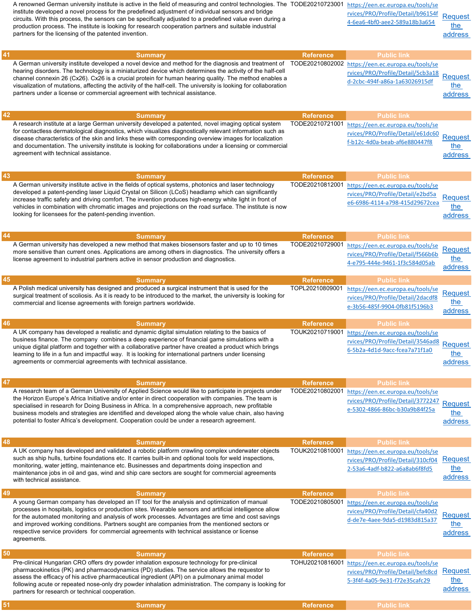|    | A renowned German university institute is active in the field of measuring and control technologies. The TODE20210723001<br>institute developed a novel process for the predefined adjustment of individual sensors and bridge<br>circuits. With this process, the sensors can be specifically adjusted to a predefined value even during a<br>production process. The institute is looking for research cooperation partners and suitable industrial<br>partners for the licensing of the patented invention.                |                                     | https://een.ec.europa.eu/tools/se<br>rvices/PRO/Profile/Detail/b96154f<br>4-6ea6-4bf0-aee2-589a18b3a654                       | <b>Request</b><br>the<br>address  |
|----|-------------------------------------------------------------------------------------------------------------------------------------------------------------------------------------------------------------------------------------------------------------------------------------------------------------------------------------------------------------------------------------------------------------------------------------------------------------------------------------------------------------------------------|-------------------------------------|-------------------------------------------------------------------------------------------------------------------------------|-----------------------------------|
| 41 | <b>Summary</b>                                                                                                                                                                                                                                                                                                                                                                                                                                                                                                                | <b>Reference</b>                    | <b>Public link</b>                                                                                                            |                                   |
|    | A German university institute developed a novel device and method for the diagnosis and treatment of<br>hearing disorders. The technology is a miniaturized device which determines the activity of the half-cell<br>channel connexin 26 (Cx26). Cx26 is a crucial protein for human hearing quality. The method enables a<br>visualization of mutations, affecting the activity of the half-cell. The university is looking for collaboration<br>partners under a license or commercial agreement with technical assistance. | TODE20210802002                     | https://een.ec.europa.eu/tools/se<br>rvices/PRO/Profile/Detail/5cb3a18<br>d-2cbc-494f-a86a-1a63026915df                       | Request<br>the<br>address         |
| 42 | <b>Summary</b>                                                                                                                                                                                                                                                                                                                                                                                                                                                                                                                | <b>Reference</b>                    | <b>Public link</b>                                                                                                            |                                   |
|    | A research institute at a large German university developed a patented, novel imaging optical system                                                                                                                                                                                                                                                                                                                                                                                                                          | TODE20210721001                     | https://een.ec.europa.eu/tools/se                                                                                             |                                   |
|    | for contactless dermatological diagnostics, which visualizes diagnostically relevant information such as<br>disease characteristics of the skin and links these with corresponding overview images for localization<br>and documentation. The university institute is looking for collaborations under a licensing or commercial<br>agreement with technical assistance.                                                                                                                                                      |                                     | rvices/PRO/Profile/Detail/e61dc60<br>f-b12c-4d0a-beab-af6e880447f8                                                            | <b>Request</b><br>the<br>address  |
| 43 | <b>Summary</b>                                                                                                                                                                                                                                                                                                                                                                                                                                                                                                                | <b>Reference</b>                    | <b>Public link</b>                                                                                                            |                                   |
|    | A German university institute active in the fields of optical systems, photonics and laser technology<br>developed a patent-pending laser Liquid Crystal on Silicon (LCoS) headlamp which can significantly<br>increase traffic safety and driving comfort. The invention produces high-energy white light in front of<br>vehicles in combination with chromatic images and projections on the road surface. The institute is now<br>looking for licensees for the patent-pending invention.                                  | TODE20210812001                     | https://een.ec.europa.eu/tools/se<br>rvices/PRO/Profile/Detail/e2bd5a<br>e6-6986-4114-a798-415d29672cea                       | <b>Request</b><br>the<br>address  |
| 44 | <b>Summary</b>                                                                                                                                                                                                                                                                                                                                                                                                                                                                                                                | <b>Reference</b>                    | <b>Public link</b>                                                                                                            |                                   |
|    | A German university has developed a new method that makes biosensors faster and up to 10 times<br>more sensitive than current ones. Applications are among others in diagnostics. The university offers a<br>license agreement to industrial partners active in sensor production and diagnostics.                                                                                                                                                                                                                            | TODE20210729001                     | https://een.ec.europa.eu/tools/se<br>rvices/PRO/Profile/Detail/f566b6b<br>4-e795-444e-9461-1f3c584d05ab                       | <b>Request</b><br>the⊹<br>address |
| 45 | <b>Summary</b>                                                                                                                                                                                                                                                                                                                                                                                                                                                                                                                | <b>Reference</b>                    | <b>Public link</b>                                                                                                            |                                   |
|    | A Polish medical university has designed and produced a surgical instrument that is used for the<br>surgical treatment of scoliosis. As it is ready to be introduced to the market, the university is looking for<br>commercial and license agreements with foreign partners worldwide.                                                                                                                                                                                                                                       | TOPL20210809001                     | https://een.ec.europa.eu/tools/se<br>rvices/PRO/Profile/Detail/2dacdf8<br>e-3b56-485f-9904-0fb81f5196b3                       | Request<br>the<br>address         |
| 46 | <b>Summary</b>                                                                                                                                                                                                                                                                                                                                                                                                                                                                                                                | <b>Reference</b>                    | <b>Public link</b>                                                                                                            |                                   |
|    | A UK company has developed a realistic and dynamic digital simulation relating to the basics of<br>business finance. The company combines a deep experience of financial game simulations with a<br>unique digital platform and together with a collaborative partner have created a product which brings<br>learning to life in a fun and impactful way. It is looking for international partners under licensing<br>agreements or commercial agreements with technical assistance.                                          | TOUK20210719001                     | https://een.ec.europa.eu/tools/se<br>rvices/PRO/Profile/Detail/3546ad8<br>6-5b2a-4d1d-9acc-fcea7a71f1a0                       | Request<br><u>the</u><br>address  |
| 47 | <b>Summary</b>                                                                                                                                                                                                                                                                                                                                                                                                                                                                                                                | <b>Reference</b>                    | <b>Public link</b>                                                                                                            |                                   |
|    | A research team of a German University of Applied Science would like to participate in projects under<br>the Horizon Europe's Africa Initiative and/or enter in direct cooperation with companies. The team is<br>specialised in research for Doing Business in Africa. In a comprehensive approach, new profitable<br>business models and strategies are identified and developed along the whole value chain, also having<br>potential to foster Africa's development. Cooperation could be under a research agreement.     | TODE20210802001                     | https://een.ec.europa.eu/tools/se<br>rvices/PRO/Profile/Detail/3772247<br>e-5302-4866-86bc-b30a9b84f25a                       | Request<br>the<br>address         |
| 48 | <b>Summary</b>                                                                                                                                                                                                                                                                                                                                                                                                                                                                                                                | <b>Reference</b>                    | <b>Public link</b>                                                                                                            |                                   |
|    | A UK company has developed and validated a robotic platform crawling complex underwater objects<br>such as ship hulls, turbine foundations etc. It carries built-in and optional tools for weld inspections,<br>monitoring, water jetting, maintenance etc. Businesses and departments doing inspection and<br>maintenance jobs in oil and gas, wind and ship care sectors are sought for commercial agreements<br>with technical assistance.                                                                                 | TOUK20210810001                     | https://een.ec.europa.eu/tools/se<br>rvices/PRO/Profile/Detail/310cf04<br>2-53a6-4adf-b822-a6a8ab6f8fd5                       | <b>Request</b><br>the<br>address  |
| 49 | <b>Summary</b>                                                                                                                                                                                                                                                                                                                                                                                                                                                                                                                | <b>Reference</b>                    | <b>Public link</b>                                                                                                            |                                   |
|    | A young German company has developed an IT tool for the analysis and optimization of manual<br>processes in hospitals, logistics or production sites. Wearable sensors and artificial intelligence allow<br>for the automated monitoring and analysis of work processes. Advantages are time and cost savings<br>and improved working conditions. Partners sought are companies from the mentioned sectors or<br>respective service providers for commercial agreements with technical assistance or license<br>agreements.   | TODE20210805001                     | https://een.ec.europa.eu/tools/se<br>rvices/PRO/Profile/Detail/cfa40d2<br>d-de7e-4aee-9da5-d1983d815a37                       | <b>Request</b><br>the<br>address  |
| 50 | <b>Summary</b><br>Pre-clinical Hungarian CRO offers dry powder inhalation exposure technology for pre-clinical<br>pharmacokinetics (PK) and pharmacodynamics (PD) studies. The service allows the requestor to<br>assess the efficacy of his active pharmaceutical ingredient (API) on a pulmonary animal model<br>following acute or repeated nose-only dry powder inhalation administration. The company is looking for<br>partners for research or technical cooperation.                                                  | <b>Reference</b><br>TOHU20210816001 | <b>Public link</b><br>https://een.ec.europa.eu/tools/se<br>rvices/PRO/Profile/Detail/befc8cd<br>5-3f4f-4a05-9e31-f72e35cafc29 | Request<br>the<br>address         |

**51** Summary Reference Public link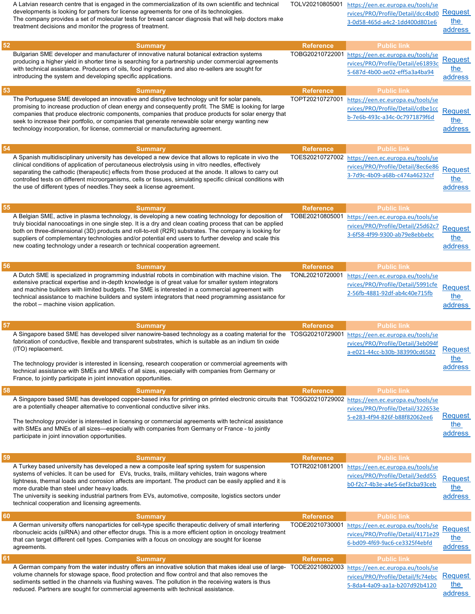|    | A Latvian research centre that is engaged in the commercialization of its own scientific and technical<br>developments is looking for partners for license agreements for one of its technologies.<br>The company provides a set of molecular tests for breast cancer diagnosis that will help doctors make<br>treatment decisions and monitor the progress of treatment.                                                                                                                                                                | TOLV20210805001  | https://een.ec.europa.eu/tools/se<br>rvices/PRO/Profile/Detail/dcc4bd0 Request<br>3-0d58-465d-a4c2-1dd400d801e6 | the<br>address                   |
|----|------------------------------------------------------------------------------------------------------------------------------------------------------------------------------------------------------------------------------------------------------------------------------------------------------------------------------------------------------------------------------------------------------------------------------------------------------------------------------------------------------------------------------------------|------------------|-----------------------------------------------------------------------------------------------------------------|----------------------------------|
| 52 | <b>Summary</b>                                                                                                                                                                                                                                                                                                                                                                                                                                                                                                                           | <b>Reference</b> | <b>Public link</b>                                                                                              |                                  |
|    | Bulgarian SME developer and manufacturer of innovative natural botanical extraction systems<br>producing a higher yield in shorter time is searching for a partnership under commercial agreements<br>with technical assistance. Producers of oils, food ingredients and also re-sellers are sought for<br>introducing the system and developing specific applications.                                                                                                                                                                  | TOBG20210722001  | https://een.ec.europa.eu/tools/se<br>rvices/PRO/Profile/Detail/e61893c<br>5-687d-4b00-ae02-eff5a3a4ba94         | <b>Request</b><br>the<br>address |
| 53 | <b>Summary</b>                                                                                                                                                                                                                                                                                                                                                                                                                                                                                                                           | <b>Reference</b> | <b>Public link</b>                                                                                              |                                  |
|    | The Portuguese SME developed an innovative and disruptive technology unit for solar panels,<br>promising to increase production of clean energy and consequently profit. The SME is looking for large<br>companies that produce electronic components, companies that produce products for solar energy that<br>seek to increase their portfolio, or companies that generate renewable solar energy wanting new<br>technology incorporation, for license, commercial or manufacturing agreement.                                         | TOPT20210727001  | https://een.ec.europa.eu/tools/se<br>rvices/PRO/Profile/Detail/cdbe1cc<br>b-7e6b-493c-a34c-0c7971879f6d         | Request<br>the<br>address        |
| 54 | <b>Summary</b>                                                                                                                                                                                                                                                                                                                                                                                                                                                                                                                           | <b>Reference</b> | <b>Public link</b>                                                                                              |                                  |
|    | A Spanish multidisciplinary university has developed a new device that allows to replicate in vivo the<br>clinical conditions of application of percutaneous electrolysis using in vitro needles, effectively<br>separating the cathodic (therapeutic) effects from those produced at the anode. It allows to carry out<br>controlled tests on different microorganisms, cells or tissues, simulating specific clinical conditions with<br>the use of different types of needles. They seek a license agreement.                         | TOES20210727002  | https://een.ec.europa.eu/tools/se<br>rvices/PRO/Profile/Detail/8ec6e86<br>3-7d9c-4b09-a68b-c474a46232cf         | <b>Request</b><br>the<br>address |
| 55 | <b>Summary</b>                                                                                                                                                                                                                                                                                                                                                                                                                                                                                                                           | <b>Reference</b> | <b>Public link</b>                                                                                              |                                  |
|    | A Belgian SME, active in plasma technology, is developing a new coating technology for deposition of<br>truly biocidal nanocoatings in one single step. It is a dry and clean coating process that can be applied<br>both on three-dimensional (3D) products and roll-to-roll (R2R) substrates. The company is looking for<br>suppliers of complementary technologies and/or potential end users to further develop and scale this<br>new coating technology under a research or technical cooperation agreement.                        | TOBE20210805001  | https://een.ec.europa.eu/tools/se<br>rvices/PRO/Profile/Detail/25d62c7<br>3-6f58-4f99-9300-ab79e8ebbebc         | Request<br><u>the</u><br>address |
| 56 | <b>Summary</b>                                                                                                                                                                                                                                                                                                                                                                                                                                                                                                                           | <b>Reference</b> | <b>Public link</b>                                                                                              |                                  |
|    | A Dutch SME is specialized in programming industrial robots in combination with machine vision. The<br>extensive practical expertise and in-depth knowledge is of great value for smaller system integrators<br>and machine builders with limited budgets. The SME is interested in a commercial agreement with<br>technical assistance to machine builders and system integrators that need programming assistance for<br>the robot – machine vision application.                                                                       | TONL20210720001  | https://een.ec.europa.eu/tools/se<br>rvices/PRO/Profile/Detail/5991cfe<br>2-56fb-4881-92df-ab4c40e715fb         | <b>Request</b><br>the<br>address |
| 57 | <b>Summary</b>                                                                                                                                                                                                                                                                                                                                                                                                                                                                                                                           | <b>Reference</b> | <b>Public link</b>                                                                                              |                                  |
|    | A Singapore based SME has developed silver nanowire-based technology as a coating material for the TOSG20210729001<br>fabrication of conductive, flexible and transparent substrates, which is suitable as an indium tin oxide<br>$(110)$ replacement.<br>The technology provider is interested in licensing, research cooperation or commercial agreements with<br>technical assistance with SMEs and MNEs of all sizes, especially with companies from Germany or<br>France, to jointly participate in joint innovation opportunities. |                  | https://een.ec.europa.eu/tools/se<br>rvices/PRO/Profile/Detail/3eb094f<br>a-e021-44cc-b30b-383990cd6582         | <b>Request</b><br>the<br>address |
| 58 | <b>Summary</b>                                                                                                                                                                                                                                                                                                                                                                                                                                                                                                                           | <b>Reference</b> | <b>Public link</b>                                                                                              |                                  |
|    | A Singapore based SME has developed copper-based inks for printing on printed electronic circuits that TOSG20210729002<br>are a potentially cheaper alternative to conventional conductive silver inks.<br>The technology provider is interested in licensing or commercial agreements with technical assistance<br>with SMEs and MNEs of all sizes—especially with companies from Germany or France - to jointly<br>participate in joint innovation opportunities.                                                                      |                  | https://een.ec.europa.eu/tools/se<br>rvices/PRO/Profile/Detail/322653e<br>5-e283-4f94-826f-b88f82062ee6         | <b>Request</b><br>the<br>address |
| 59 | <b>Summary</b>                                                                                                                                                                                                                                                                                                                                                                                                                                                                                                                           | <b>Reference</b> | <b>Public link</b>                                                                                              |                                  |
|    | A Turkey based university has developed a new a composite leaf spring system for suspension<br>systems of vehicles. It can be used for EVs, trucks, trails, military vehicles, train wagons where<br>lightness, thermal loads and corrosion affects are important. The product can be easily applied and it is<br>more durable than steel under heavy loads.<br>The university is seeking industrial partners from EVs, automotive, composite, logistics sectors under<br>technical cooperation and licensing agreements.                | TOTR20210812001  | https://een.ec.europa.eu/tools/se<br>rvices/PRO/Profile/Detail/3edd55<br>b0-f2c7-4b3e-a4e5-6ef3cba93ceb         | <b>Request</b><br>the<br>address |
| 60 | <b>Summary</b>                                                                                                                                                                                                                                                                                                                                                                                                                                                                                                                           | <b>Reference</b> | <b>Public link</b>                                                                                              |                                  |
|    | A German university offers nanoparticles for cell-type specific therapeutic delivery of small interfering<br>ribonucleic acids (siRNA) and other effector drugs. This is a more efficient option in oncology treatment<br>that can target different cell types. Companies with a focus on oncology are sought for license<br>agreements.                                                                                                                                                                                                 | TODE20210730001  | https://een.ec.europa.eu/tools/se<br>rvices/PRO/Profile/Detail/4171e29<br>6-bd09-4f69-9ac6-ce3325f4ebfd         | Request<br>the<br>address        |
| 61 | <b>Summary</b>                                                                                                                                                                                                                                                                                                                                                                                                                                                                                                                           | <b>Reference</b> | <b>Public link</b>                                                                                              |                                  |
|    | A German company from the water industry offers an innovative solution that makes ideal use of large- TODE20210802003<br>volume channels for stowage space, flood protection and flow control and that also removes the<br>sediments settled in the channels via flushing waves. The pollution in the receiving waters is thus<br>reduced. Partners are sought for commercial agreements with technical assistance.                                                                                                                      |                  | https://een.ec.europa.eu/tools/se<br>rvices/PRO/Profile/Detail/fc74ebc<br>5-8da4-4a09-aa1a-b207d92b4120         | Request<br>the<br>address        |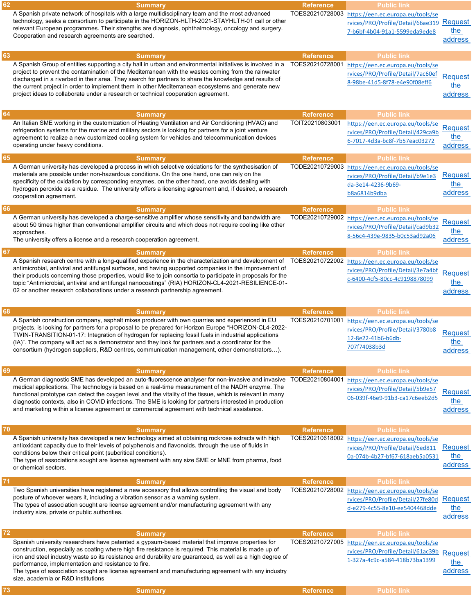| 62       | <b>Summary</b>                                                                                                                                                                                                                                                                                                                                                                                                                                                                                                                                  | <b>Reference</b>                    | <b>Public link</b>                                                                                                                |                                  |
|----------|-------------------------------------------------------------------------------------------------------------------------------------------------------------------------------------------------------------------------------------------------------------------------------------------------------------------------------------------------------------------------------------------------------------------------------------------------------------------------------------------------------------------------------------------------|-------------------------------------|-----------------------------------------------------------------------------------------------------------------------------------|----------------------------------|
|          | A Spanish private network of hospitals with a large multidisciplinary team and the most advanced<br>technology, seeks a consortium to participate in the HORIZON-HLTH-2021-STAYHLTH-01 call or other<br>relevant European programmes. Their strengths are diagnosis, ophthalmology, oncology and surgery.<br>Cooperation and research agreements are searched.                                                                                                                                                                                  | TOES20210728003                     | https://een.ec.europa.eu/tools/se<br>rvices/PRO/Profile/Detail/66ae319 Request<br>7-b6bf-4b04-91a1-5599eda9ede8                   | the<br>address                   |
| 63       | <b>Summary</b>                                                                                                                                                                                                                                                                                                                                                                                                                                                                                                                                  | <b>Reference</b>                    | <b>Public link</b>                                                                                                                |                                  |
|          | A Spanish Group of entities supporting a city hall in urban and environmental initiatives is involved in a<br>project to prevent the contamination of the Mediterranean with the wastes coming from the rainwater<br>discharged in a riverbed in their area. They search for partners to share the knowledge and results of<br>the current project in order to implement them in other Mediterranean ecosystems and generate new<br>project ideas to collaborate under a research or technical cooperation agreement.                           | TOES20210728001                     | https://een.ec.europa.eu/tools/se<br>rvices/PRO/Profile/Detail/7ac60ef<br>8-98be-41d5-8f78-e4e90f08eff6                           | <b>Request</b><br>the<br>address |
| 64       | <b>Summary</b>                                                                                                                                                                                                                                                                                                                                                                                                                                                                                                                                  | <b>Reference</b>                    | <b>Public link</b>                                                                                                                |                                  |
|          | An Italian SME working in the customization of Heating Ventilation and Air Conditioning (HVAC) and<br>refrigeration systems for the marine and military sectors is looking for partners for a joint venture<br>agreement to realize a new customized cooling system for vehicles and telecommunication devices<br>operating under heavy conditions.                                                                                                                                                                                             | TOIT20210803001                     | https://een.ec.europa.eu/tools/se<br>rvices/PRO/Profile/Detail/429ca9b<br>6-7017-4d3a-bc8f-7b57eac03272                           | <b>Request</b><br>the<br>address |
| 65       | <b>Summary</b>                                                                                                                                                                                                                                                                                                                                                                                                                                                                                                                                  | <b>Reference</b>                    | <b>Public link</b>                                                                                                                |                                  |
|          | A German university has developed a process in which selective oxidations for the synthesisation of<br>materials are possible under non-hazardous conditions. On the one hand, one can rely on the<br>specificity of the oxidation by corresponding enzymes, on the other hand, one avoids dealing with<br>hydrogen peroxide as a residue. The university offers a licensing agreement and, if desired, a research<br>cooperation agreement.                                                                                                    | TODE20210729003                     | https://een.ec.europa.eu/tools/se<br>rvices/PRO/Profile/Detail/b9e1e3<br>da-3e14-4236-9b69-<br>b8a6814b9dba                       | <b>Request</b><br>the<br>address |
| 66       | <b>Summary</b>                                                                                                                                                                                                                                                                                                                                                                                                                                                                                                                                  | <b>Reference</b>                    | <b>Public link</b>                                                                                                                |                                  |
|          | A German university has developed a charge-sensitive amplifier whose sensitivity and bandwidth are<br>about 50 times higher than conventional amplifier circuits and which does not require cooling like other<br>approaches.<br>The university offers a license and a research cooperation agreement.                                                                                                                                                                                                                                          | TODE20210729002                     | https://een.ec.europa.eu/tools/se<br>rvices/PRO/Profile/Detail/cad9b32<br>8-56c4-439e-9835-b0c53ad92a06                           | <b>Request</b><br>the<br>address |
| 67       | <b>Summary</b>                                                                                                                                                                                                                                                                                                                                                                                                                                                                                                                                  | <b>Reference</b>                    | <b>Public link</b>                                                                                                                |                                  |
|          | A Spanish research centre with a long-qualified experience in the characterization and development of<br>antimicrobial, antiviral and antifungal surfaces, and having supported companies in the improvement of<br>their products concerning those properties, would like to join consortia to participate in proposals for the<br>topic "Antimicrobial, antiviral and antifungal nanocoatings" (RIA) HORIZON-CL4-2021-RESILIENCE-01-<br>02 or another research collaborations under a research partnership agreement.                          | TOES20210722002                     | https://een.ec.europa.eu/tools/se<br>rvices/PRO/Profile/Detail/3e7a4bf<br>c-6400-4cf5-80cc-4c9198878099                           | <b>Request</b><br>the<br>address |
|          |                                                                                                                                                                                                                                                                                                                                                                                                                                                                                                                                                 |                                     |                                                                                                                                   |                                  |
|          |                                                                                                                                                                                                                                                                                                                                                                                                                                                                                                                                                 |                                     |                                                                                                                                   |                                  |
| 68       | <b>Summary</b><br>A Spanish construction company, asphalt mixes producer with own quarries and experienced in EU<br>projects, is looking for partners for a proposal to be prepared for Horizon Europe "HORIZON-CL4-2022-<br>TWIN-TRANSITION-01-17: Integration of hydrogen for replacing fossil fuels in industrial applications<br>(IA)". The company will act as a demonstrator and they look for partners and a coordinator for the<br>consortium (hydrogen suppliers, R&D centres, communication management, other demonstrators).         | <b>Reference</b><br>TOES20210701001 | <b>Public link</b><br>https://een.ec.europa.eu/tools/se<br>rvices/PRO/Profile/Detail/3780b8<br>12-8e22-41b6-b6db-<br>707f74038b3d | <b>Request</b><br>the<br>address |
| 69       |                                                                                                                                                                                                                                                                                                                                                                                                                                                                                                                                                 | <b>Reference</b>                    |                                                                                                                                   |                                  |
|          | <b>Summary</b><br>A German diagnostic SME has developed an auto-fluorescence analyser for non-invasive and invasive<br>medical applications. The technology is based on a real-time measurement of the NADH enzyme. The<br>functional prototype can detect the oxygen level and the vitality of the tissue, which is relevant in many<br>diagnostic contexts, also in COVID infections. The SME is looking for partners interested in production<br>and marketing within a license agreement or commercial agreement with technical assistance. | TODE20210804001                     | <b>Public link</b><br>https://een.ec.europa.eu/tools/se<br>rvices/PRO/Profile/Detail/5b9e57<br>06-039f-46e9-91b3-ca17c6eeb2d5     | <b>Request</b><br>the<br>address |
| 70       |                                                                                                                                                                                                                                                                                                                                                                                                                                                                                                                                                 |                                     |                                                                                                                                   |                                  |
|          | <b>Summary</b><br>A Spanish university has developed a new technology aimed at obtaining rockrose extracts with high<br>antioxidant capacity due to their levels of polyphenols and flavonoids, through the use of fluids in<br>conditions below their critical point (subcritical conditions).<br>The type of associations sought are license agreement with any size SME or MNE from pharma, food<br>or chemical sectors.                                                                                                                     | <b>Reference</b><br>TOES20210618002 | <b>Public link</b><br>https://een.ec.europa.eu/tools/se<br>rvices/PRO/Profile/Detail/6ed811<br>0a-074b-4b27-bf67-618aeb5a0531     | Request<br>the<br>address        |
|          | <b>Summary</b>                                                                                                                                                                                                                                                                                                                                                                                                                                                                                                                                  | <b>Reference</b>                    | <b>Public link</b>                                                                                                                |                                  |
|          | Two Spanish universities have registered a new accessory that allows controlling the visual and body<br>posture of whoever wears it, including a vibration sensor as a warning system.<br>The types of association sought are license agreement and/or manufacturing agreement with any<br>industry size, private or public authorities.                                                                                                                                                                                                        | TOES20210728002                     | https://een.ec.europa.eu/tools/se<br>rvices/PRO/Profile/Detail/27fe80d<br>d-e279-4c55-8e10-ee5404468dde                           | Request<br>the<br>address        |
| 71<br>72 | <b>Summary</b>                                                                                                                                                                                                                                                                                                                                                                                                                                                                                                                                  | <b>Reference</b>                    | <b>Public link</b>                                                                                                                |                                  |
|          | Spanish university researchers have patented a gypsum-based material that improve properties for<br>construction, especially as coating where high fire resistance is required. This material is made up of<br>iron and steel industry waste so its resistance and durability are guaranteed, as well as a high degree of<br>performance, implementation and resistance to fire.<br>The types of association sought are license agreement and manufacturing agreement with any industry<br>size, academia or R&D institutions                   | TOES20210727005                     | https://een.ec.europa.eu/tools/se<br>rvices/PRO/Profile/Detail/61ac39b<br>1-327a-4c9c-a584-418b73ba1399                           | <b>Request</b><br>the<br>address |
| 73       | <b>Summary</b>                                                                                                                                                                                                                                                                                                                                                                                                                                                                                                                                  | <b>Reference</b>                    | <b>Public link</b>                                                                                                                |                                  |